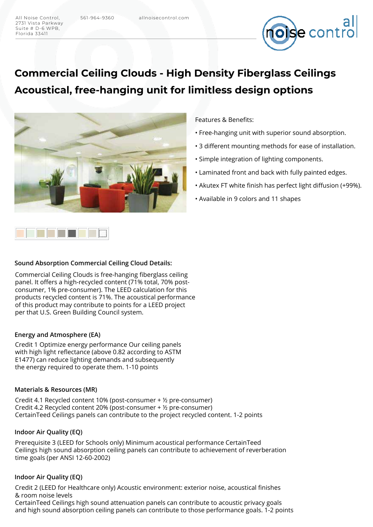2731 Vista Parkway Suite # D-6 WPB, Florida 33411



# **Commercial Ceiling Clouds - High Density Fiberglass Ceilings Acoustical, free-hanging unit for limitless design options**



### **Sound Absorption Commercial Ceiling Cloud Details:**

Commercial Ceiling Clouds is free-hanging fiberglass ceiling panel. It offers a high-recycled content (71% total, 70% postconsumer, 1% pre-consumer). The LEED calculation for this products recycled content is 71%. The acoustical performance of this product may contribute to points for a LEED project per that U.S. Green Building Council system.

#### **Energy and Atmosphere (EA)**

Credit 1 Optimize energy performance Our ceiling panels with high light reflectance (above 0.82 according to ASTM E1477) can reduce lighting demands and subsequently the energy required to operate them. 1-10 points

### **Materials & Resources (MR)**

Credit 4.1 Recycled content 10% (post-consumer + ½ pre-consumer) Credit 4.2 Recycled content 20% (post-consumer + ½ pre-consumer) CertainTeed Ceilings panels can contribute to the project recycled content. 1-2 points

## **Indoor Air Quality (EQ)**

Prerequisite 3 (LEED for Schools only) Minimum acoustical performance CertainTeed Ceilings high sound absorption ceiling panels can contribute to achievement of reverberation time goals (per ANSI 12-60-2002)

#### **Indoor Air Quality (EQ)**

Credit 2 (LEED for Healthcare only) Acoustic environment: exterior noise, acoustical finishes & room noise levels

CertainTeed Ceilings high sound attenuation panels can contribute to acoustic privacy goals and high sound absorption ceiling panels can contribute to those performance goals. 1-2 points

# Features & Benefits:

- Free-hanging unit with superior sound absorption.
- 3 different mounting methods for ease of installation.
- Simple integration of lighting components.
- Laminated front and back with fully painted edges.
- Akutex FT white finish has perfect light diffusion (+99%).
- Available in 9 colors and 11 shapes